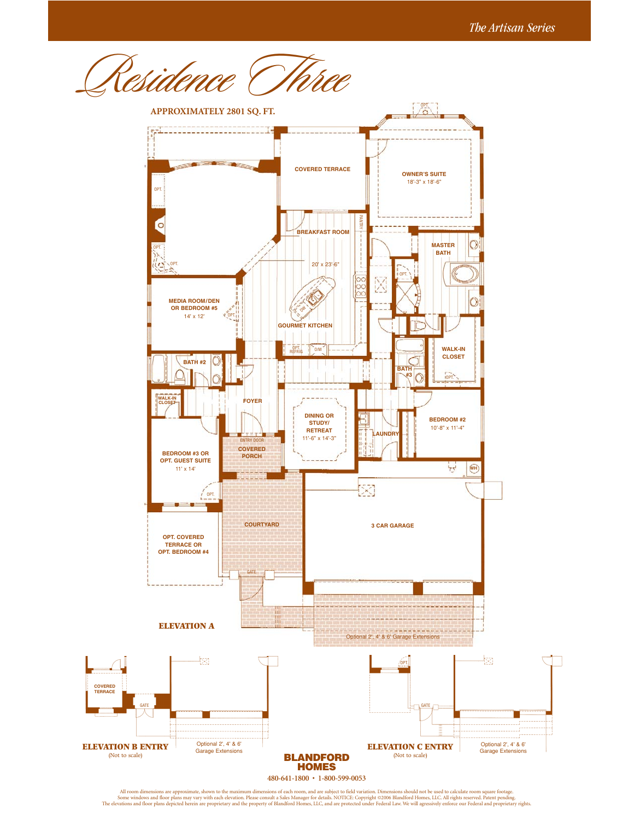

All room dimensions are approximate, shown to the maximum dimensions of each room, and are subject to field variation. Dimensions should not be used to calculate room square footage.<br>Some windows and floor plans may vary w